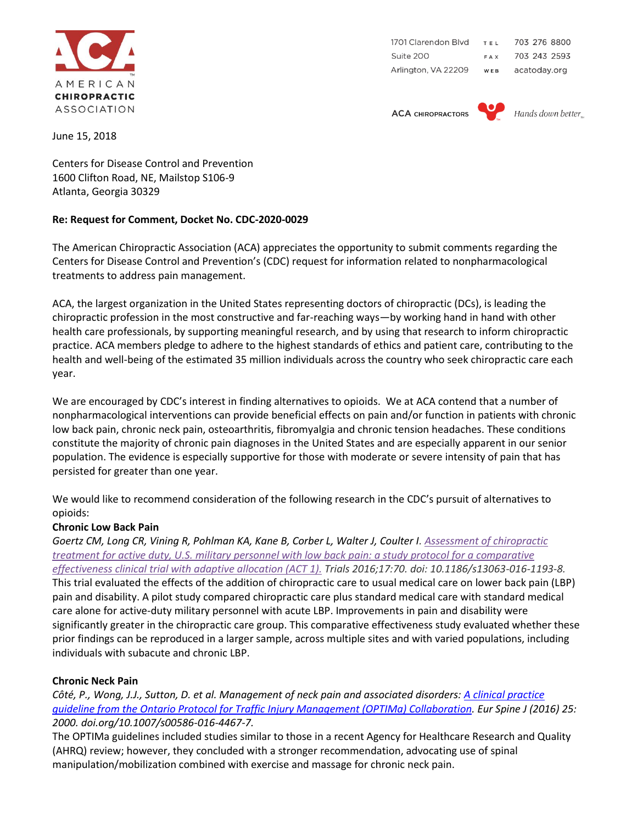

1701 Clarendon Blvd TEL 703 276 8800 Suite 200 703 243 2593 F A X Arlington, VA 22209 WEB acatoday.org

**ACA CHIROPRACTORS** 



Hands down better.

June 15, 2018

Centers for Disease Control and Prevention 1600 Clifton Road, NE, Mailstop S106-9 Atlanta, Georgia 30329

## **Re: Request for Comment, Docket No. CDC-2020-0029**

The American Chiropractic Association (ACA) appreciates the opportunity to submit comments regarding the Centers for Disease Control and Prevention's (CDC) request for information related to nonpharmacological treatments to address pain management.

ACA, the largest organization in the United States representing doctors of chiropractic (DCs), is leading the chiropractic profession in the most constructive and far-reaching ways—by working hand in hand with other health care professionals, by supporting meaningful research, and by using that research to inform chiropractic practice. ACA members pledge to adhere to the highest standards of ethics and patient care, contributing to the health and well-being of the estimated 35 million individuals across the country who seek chiropractic care each year.

We are encouraged by CDC's interest in finding alternatives to opioids. We at ACA contend that a number of nonpharmacological interventions can provide beneficial effects on pain and/or function in patients with chronic low back pain, chronic neck pain, osteoarthritis, fibromyalgia and chronic tension headaches. These conditions constitute the majority of chronic pain diagnoses in the United States and are especially apparent in our senior population. The evidence is especially supportive for those with moderate or severe intensity of pain that has persisted for greater than one year.

We would like to recommend consideration of the following research in the CDC's pursuit of alternatives to opioids:

# **Chronic Low Back Pain**

*Goertz CM, Long CR, Vining R, Pohlman KA, Kane B, Corber L, Walter J, Coulter I. [Assessment of chiropractic](http://www.ncbi.nlm.nih.gov/pubmed/26857706)  [treatment for active duty, U.S. military personnel with low back pain: a study protocol for a comparative](http://www.ncbi.nlm.nih.gov/pubmed/26857706)  [effectiveness clinical trial with adaptive allocation \(ACT 1\).](http://www.ncbi.nlm.nih.gov/pubmed/26857706) Trials 2016;17:70. doi: 10.1186/s13063-016-1193-8.* This trial evaluated the effects of the addition of chiropractic care to usual medical care on lower back pain (LBP) pain and disability. A pilot study compared chiropractic care plus standard medical care with standard medical care alone for active-duty military personnel with acute LBP. Improvements in pain and disability were significantly greater in the chiropractic care group. This comparative effectiveness study evaluated whether these prior findings can be reproduced in a larger sample, across multiple sites and with varied populations, including individuals with subacute and chronic LBP.

# **Chronic Neck Pain**

*Côté, P., Wong, J.J., Sutton, D. et al. Management of neck pain and associated disorders: [A clinical practice](https://doi.org/10.1007/s00586-016-4467-7)  [guideline from the Ontario Protocol for Traffic Injury Management \(OPTIMa\) Collaboration.](https://doi.org/10.1007/s00586-016-4467-7) Eur Spine J (2016) 25: 2000. doi.org/10.1007/s00586-016-4467-7.* 

The OPTIMa guidelines included studies similar to those in a recent Agency for Healthcare Research and Quality (AHRQ) review; however, they concluded with a stronger recommendation, advocating use of spinal manipulation/mobilization combined with exercise and massage for chronic neck pain.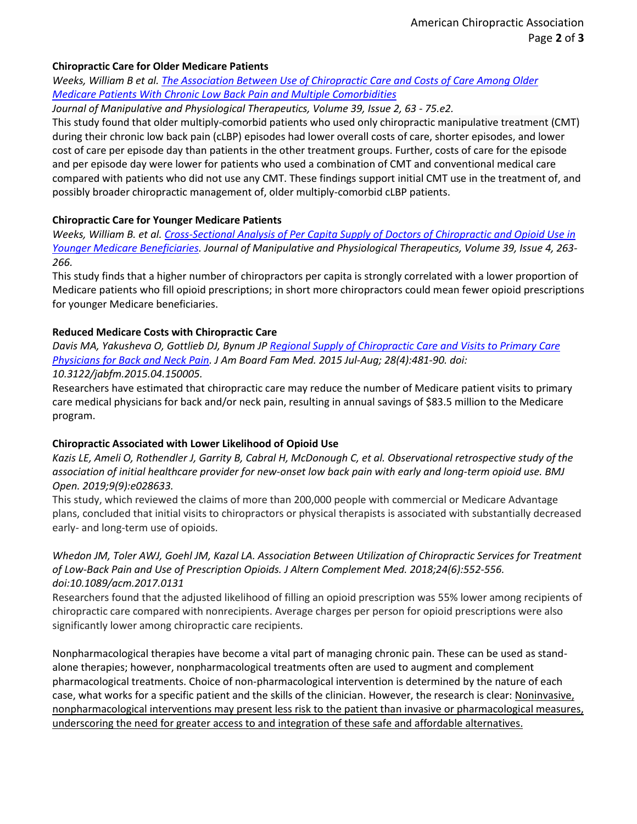## **Chiropractic Care for Older Medicare Patients**

*Weeks, William B et al. [The Association Between Use of Chiropractic Care and Costs of Care Among Older](http://www.jmptonline.org/article/S0161-4754(16)00007-5/pdf)  [Medicare Patients With Chronic Low Back Pain and Multiple Comorbidities](http://www.jmptonline.org/article/S0161-4754(16)00007-5/pdf)*

*Journal of Manipulative and Physiological Therapeutics, Volume 39, Issue 2, 63 - 75.e2.*

This study found that older multiply-comorbid patients who used only chiropractic manipulative treatment (CMT) during their chronic low back pain (cLBP) episodes had lower overall costs of care, shorter episodes, and lower cost of care per episode day than patients in the other treatment groups. Further, costs of care for the episode and per episode day were lower for patients who used a combination of CMT and conventional medical care compared with patients who did not use any CMT. These findings support initial CMT use in the treatment of, and possibly broader chiropractic management of, older multiply-comorbid cLBP patients.

# **Chiropractic Care for Younger Medicare Patients**

*Weeks, William B. et al. [Cross-Sectional Analysis of Per Capita Supply of Doctors of Chiropractic and Opioid Use in](http://www.jmptonline.org/article/S0161-4754(16)00063-4/abstract)  [Younger Medicare Beneficiaries.](http://www.jmptonline.org/article/S0161-4754(16)00063-4/abstract) Journal of Manipulative and Physiological Therapeutics, Volume 39, Issue 4, 263- 266.* 

This study finds that a higher number of chiropractors per capita is strongly correlated with a lower proportion of Medicare patients who fill opioid prescriptions; in short more chiropractors could mean fewer opioid prescriptions for younger Medicare beneficiaries.

## **Reduced Medicare Costs with Chiropractic Care**

*Davis MA, Yakusheva O, Gottlieb DJ, Bynum JP [Regional Supply of Chiropractic Care and Visits to Primary Care](https://www.ncbi.nlm.nih.gov/pubmed/26152439)  [Physicians for Back and Neck Pain.](https://www.ncbi.nlm.nih.gov/pubmed/26152439) J Am Board Fam Med. 2015 Jul-Aug; 28(4):481-90. doi: 10.3122/jabfm.2015.04.150005.*

Researchers have estimated that chiropractic care may reduce the number of Medicare patient visits to primary care medical physicians for back and/or neck pain, resulting in annual savings of \$83.5 million to the Medicare program.

# **Chiropractic Associated with Lower Likelihood of Opioid Use**

*Kazis LE, Ameli O, Rothendler J, Garrity B, Cabral H, McDonough C, et al. Observational retrospective study of the association of initial healthcare provider for new-onset low back pain with early and long-term opioid use. BMJ Open. 2019;9(9):e028633.*

This study, which reviewed the claims of more than 200,000 people with commercial or Medicare Advantage plans, concluded that initial visits to chiropractors or physical therapists is associated with substantially decreased early- and long-term use of opioids.

*Whedon JM, Toler AWJ, Goehl JM, Kazal LA. Association Between Utilization of Chiropractic Services for Treatment of Low-Back Pain and Use of Prescription Opioids. J Altern Complement Med. 2018;24(6):552‐556. doi:10.1089/acm.2017.0131*

Researchers found that the adjusted likelihood of filling an opioid prescription was 55% lower among recipients of chiropractic care compared with nonrecipients. Average charges per person for opioid prescriptions were also significantly lower among chiropractic care recipients.

Nonpharmacological therapies have become a vital part of managing chronic pain. These can be used as standalone therapies; however, nonpharmacological treatments often are used to augment and complement pharmacological treatments. Choice of non-pharmacological intervention is determined by the nature of each case, what works for a specific patient and the skills of the clinician. However, the research is clear: Noninvasive, nonpharmacological interventions may present less risk to the patient than invasive or pharmacological measures, underscoring the need for greater access to and integration of these safe and affordable alternatives.